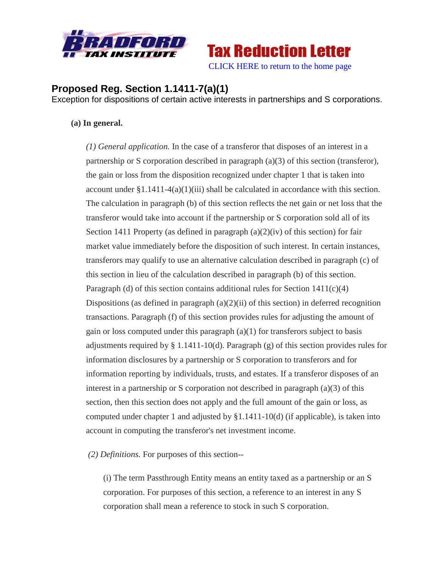



## **Proposed Reg. Section 1.1411-7(a)(1)**

Exception for dispositions of certain active interests in partnerships and S corporations.

## **(a) In general.**

*(1) General application.* In the case of a transferor that disposes of an interest in a partnership or S corporation described in paragraph (a)(3) of this section (transferor), the gain or loss from the disposition recognized under chapter 1 that is taken into account under  $\S1.1411-4(a)(1)(iii)$  shall be calculated in accordance with this section. The calculation in paragraph (b) of this section reflects the net gain or net loss that the transferor would take into account if the partnership or S corporation sold all of its Section 1411 Property (as defined in paragraph  $(a)(2)(iv)$  of this section) for fair market value immediately before the disposition of such interest. In certain instances, transferors may qualify to use an alternative calculation described in paragraph (c) of this section in lieu of the calculation described in paragraph (b) of this section. Paragraph (d) of this section contains additional rules for Section  $1411(c)(4)$ Dispositions (as defined in paragraph  $(a)(2)(ii)$  of this section) in deferred recognition transactions. Paragraph (f) of this section provides rules for adjusting the amount of gain or loss computed under this paragraph  $(a)(1)$  for transferors subject to basis adjustments required by § 1.1411-10(d). Paragraph (g) of this section provides rules for information disclosures by a partnership or S corporation to transferors and for information reporting by individuals, trusts, and estates. If a transferor disposes of an interest in a partnership or S corporation not described in paragraph (a)(3) of this section, then this section does not apply and the full amount of the gain or loss, as computed under chapter 1 and adjusted by §1.1411-10(d) (if applicable), is taken into account in computing the transferor's net investment income.

*(2) Definitions.* For purposes of this section--

(i) The term Passthrough Entity means an entity taxed as a partnership or an S corporation. For purposes of this section, a reference to an interest in any S corporation shall mean a reference to stock in such S corporation.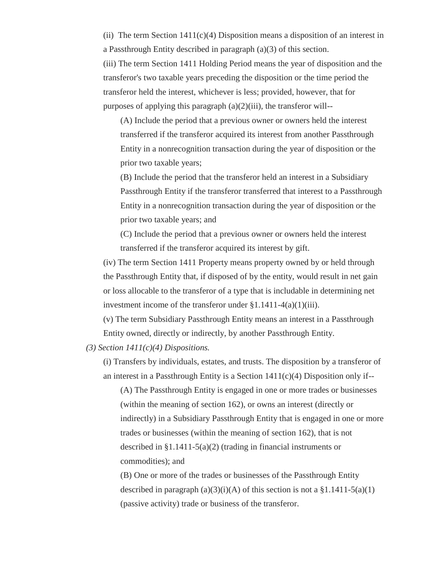(ii) The term Section  $1411(c)(4)$  Disposition means a disposition of an interest in a Passthrough Entity described in paragraph (a)(3) of this section.

(iii) The term Section 1411 Holding Period means the year of disposition and the transferor's two taxable years preceding the disposition or the time period the transferor held the interest, whichever is less; provided, however, that for purposes of applying this paragraph (a)(2)(iii), the transferor will--

(A) Include the period that a previous owner or owners held the interest transferred if the transferor acquired its interest from another Passthrough Entity in a nonrecognition transaction during the year of disposition or the prior two taxable years;

(B) Include the period that the transferor held an interest in a Subsidiary Passthrough Entity if the transferor transferred that interest to a Passthrough Entity in a nonrecognition transaction during the year of disposition or the prior two taxable years; and

(C) Include the period that a previous owner or owners held the interest transferred if the transferor acquired its interest by gift.

(iv) The term Section 1411 Property means property owned by or held through the Passthrough Entity that, if disposed of by the entity, would result in net gain or loss allocable to the transferor of a type that is includable in determining net investment income of the transferor under  $\S 1.1411-4(a)(1)(iii)$ .

(v) The term Subsidiary Passthrough Entity means an interest in a Passthrough Entity owned, directly or indirectly, by another Passthrough Entity.

*(3) Section 1411(c)(4) Dispositions.*

(i) Transfers by individuals, estates, and trusts. The disposition by a transferor of an interest in a Passthrough Entity is a Section  $1411(c)(4)$  Disposition only if--

(A) The Passthrough Entity is engaged in one or more trades or businesses (within the meaning of section 162), or owns an interest (directly or indirectly) in a Subsidiary Passthrough Entity that is engaged in one or more trades or businesses (within the meaning of section 162), that is not described in §1.1411-5(a)(2) (trading in financial instruments or commodities); and

(B) One or more of the trades or businesses of the Passthrough Entity described in paragraph  $(a)(3)(i)(A)$  of this section is not a §1.1411-5(a)(1) (passive activity) trade or business of the transferor.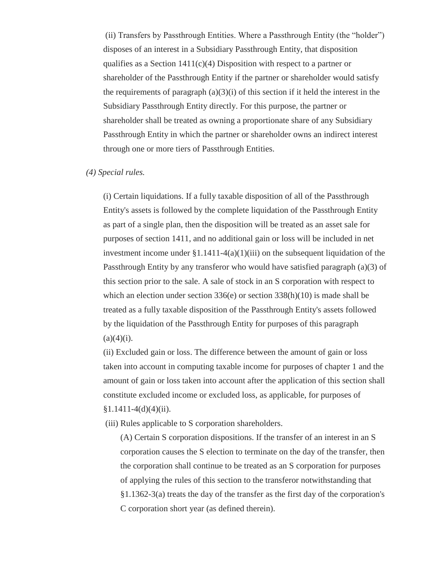(ii) Transfers by Passthrough Entities. Where a Passthrough Entity (the "holder") disposes of an interest in a Subsidiary Passthrough Entity, that disposition qualifies as a Section  $1411(c)(4)$  Disposition with respect to a partner or shareholder of the Passthrough Entity if the partner or shareholder would satisfy the requirements of paragraph  $(a)(3)(i)$  of this section if it held the interest in the Subsidiary Passthrough Entity directly. For this purpose, the partner or shareholder shall be treated as owning a proportionate share of any Subsidiary Passthrough Entity in which the partner or shareholder owns an indirect interest through one or more tiers of Passthrough Entities.

## *(4) Special rules.*

(i) Certain liquidations. If a fully taxable disposition of all of the Passthrough Entity's assets is followed by the complete liquidation of the Passthrough Entity as part of a single plan, then the disposition will be treated as an asset sale for purposes of section 1411, and no additional gain or loss will be included in net investment income under  $\S 1.1411-4(a)(1)(iii)$  on the subsequent liquidation of the Passthrough Entity by any transferor who would have satisfied paragraph (a)(3) of this section prior to the sale. A sale of stock in an S corporation with respect to which an election under section  $336(e)$  or section  $338(h)(10)$  is made shall be treated as a fully taxable disposition of the Passthrough Entity's assets followed by the liquidation of the Passthrough Entity for purposes of this paragraph  $(a)(4)(i)$ .

(ii) Excluded gain or loss. The difference between the amount of gain or loss taken into account in computing taxable income for purposes of chapter 1 and the amount of gain or loss taken into account after the application of this section shall constitute excluded income or excluded loss, as applicable, for purposes of  $§1.1411-4(d)(4)(ii).$ 

(iii) Rules applicable to S corporation shareholders.

(A) Certain S corporation dispositions. If the transfer of an interest in an S corporation causes the S election to terminate on the day of the transfer, then the corporation shall continue to be treated as an S corporation for purposes of applying the rules of this section to the transferor notwithstanding that §1.1362-3(a) treats the day of the transfer as the first day of the corporation's C corporation short year (as defined therein).